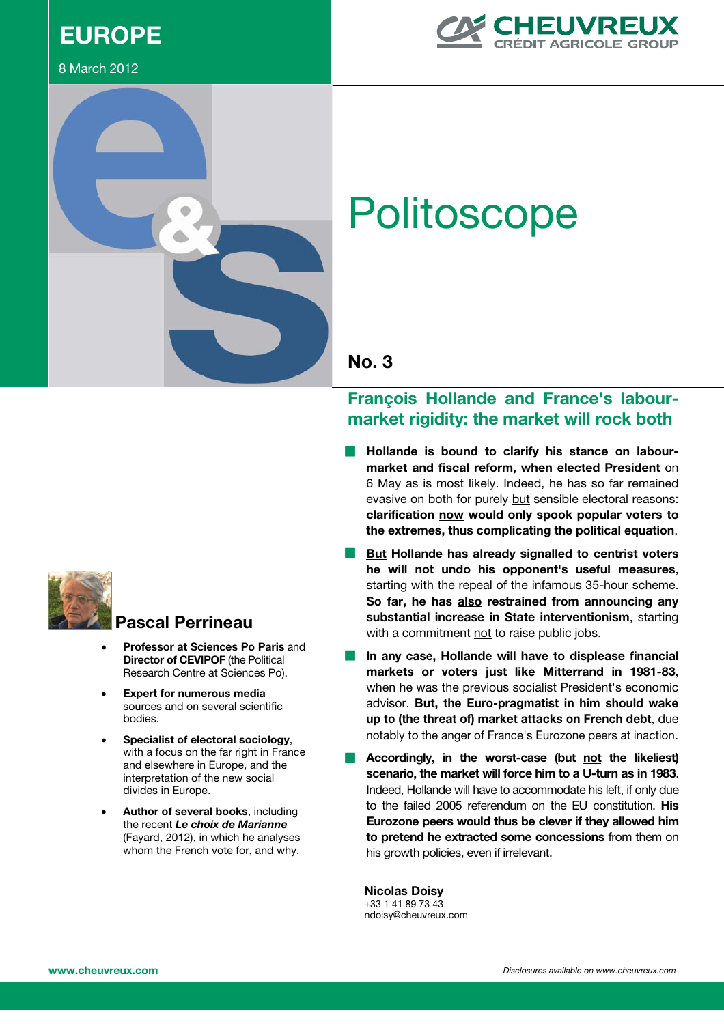# **EUROPE**

### 8 March 2012





# **Politoscope**



# **François Hollande and France's labourmarket rigidity: the market will rock both**

- **Hollande is bound to clarify his stance on labourmarket and fiscal reform, when elected President** on 6 May as is most likely. Indeed, he has so far remained evasive on both for purely but sensible electoral reasons: **clarification now would only spook popular voters to the extremes, thus complicating the political equation**.
- **But Hollande has already signalled to centrist voters he will not undo his opponent's useful measures**, starting with the repeal of the infamous 35-hour scheme. **So far, he has also restrained from announcing any substantial increase in State interventionism**, starting with a commitment not to raise public jobs.
- In any case, Hollande will have to displease financial **markets or voters just like Mitterrand in 1981-83**, when he was the previous socialist President's economic advisor. **But, the Euro-pragmatist in him should wake up to (the threat of) market attacks on French debt**, due notably to the anger of France's Eurozone peers at inaction.
- Accordingly, in the worst-case (but not the likeliest) **scenario, the market will force him to a U-turn as in 1983**. Indeed, Hollande will have to accommodate his left, if only due to the failed 2005 referendum on the EU constitution. **His Eurozone peers would thus be clever if they allowed him to pretend he extracted some concessions** from them on his growth policies, even if irrelevant.

**Nicolas Doisy** +33 1 41 89 73 43 ndoisy@cheuvreux.com



# **Pascal Perrineau**

- **Professor at Sciences Po Paris and Director of CEVIPOF** (the Political Research Centre at Sciences Po).
- x **Expert for numerous media** sources and on several scientific bodies.
- x **Specialist of electoral sociology**, with a focus on the far right in France and elsewhere in Europe, and the interpretation of the new social divides in Europe.
- Author of several books, including the recent *Le choix de Marianne* (Fayard, 2012), in which he analyses whom the French vote for, and why.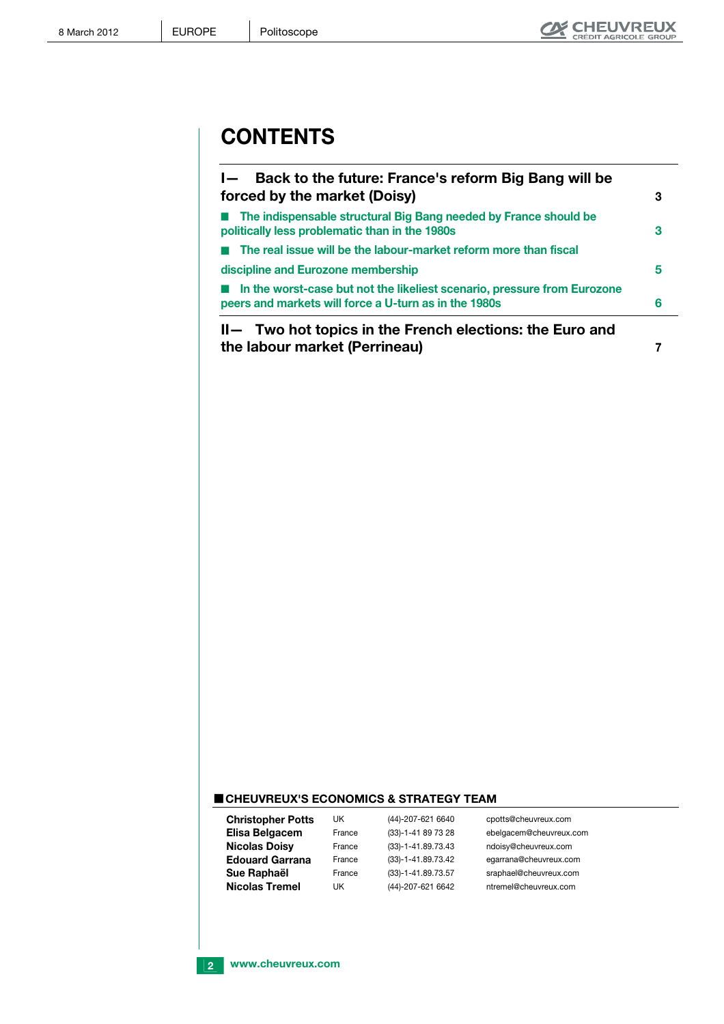# **CONTENTS**

| Back to the future: France's reform Big Bang will be<br>$\blacksquare$<br>forced by the market (Doisy)                            | 3 |
|-----------------------------------------------------------------------------------------------------------------------------------|---|
| The indispensable structural Big Bang needed by France should be<br>politically less problematic than in the 1980s                | 3 |
| The real issue will be the labour-market reform more than fiscal                                                                  |   |
| discipline and Eurozone membership                                                                                                | 5 |
| In the worst-case but not the likeliest scenario, pressure from Eurozone<br>peers and markets will force a U-turn as in the 1980s | 6 |
| II— Two hot topics in the French elections: the Euro and<br>the labour market (Perrineau)                                         |   |

### **CHEUVREUX'S ECONOMICS & STRATEGY TEAM**

| <b>Christopher Potts</b> | UK     | (44)-207-621 6640    | cpotts@cheuvreux.com    |
|--------------------------|--------|----------------------|-------------------------|
| Elisa Belgacem           | France | (33)-1-41 89 73 28   | ebelgacem@cheuvreux.com |
| <b>Nicolas Doisy</b>     | France | (33)-1-41.89.73.43   | ndoisy@cheuvreux.com    |
| <b>Edouard Garrana</b>   | France | (33)-1-41.89.73.42   | egarrana@cheuvreux.com  |
| Sue Raphaël              | France | $(33)-1-41.89.73.57$ | sraphael@cheuvreux.com  |
| <b>Nicolas Tremel</b>    | UK     | (44)-207-621 6642    | ntremel@cheuvreux.com   |

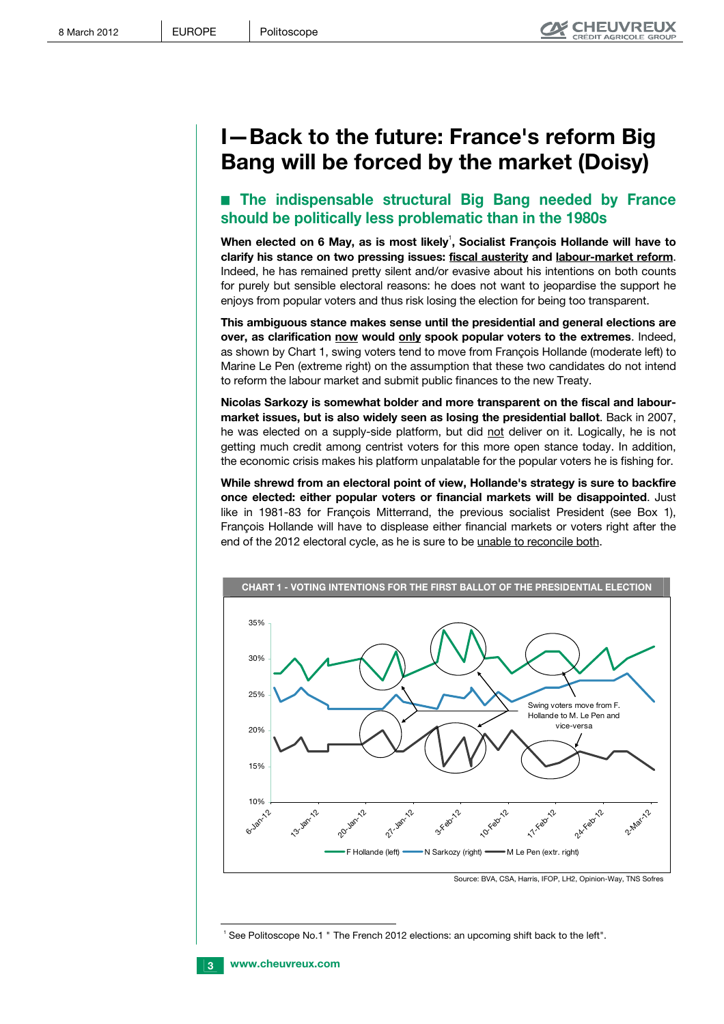# **I—Back to the future: France's reform Big Bang will be forced by the market (Doisy)**

# ■ The indispensable structural Big Bang needed by France **should be politically less problematic than in the 1980s**

When elected on 6 May, as is most likely<sup>1</sup>, Socialist François Hollande will have to **clarify his stance on two pressing issues: fiscal austerity and labour-market reform**. Indeed, he has remained pretty silent and/or evasive about his intentions on both counts for purely but sensible electoral reasons: he does not want to jeopardise the support he enjoys from popular voters and thus risk losing the election for being too transparent.

**This ambiguous stance makes sense until the presidential and general elections are over, as clarification now would only spook popular voters to the extremes**. Indeed, as shown by Chart 1, swing voters tend to move from François Hollande (moderate left) to Marine Le Pen (extreme right) on the assumption that these two candidates do not intend to reform the labour market and submit public finances to the new Treaty.

**Nicolas Sarkozy is somewhat bolder and more transparent on the fiscal and labourmarket issues, but is also widely seen as losing the presidential ballot**. Back in 2007, he was elected on a supply-side platform, but did not deliver on it. Logically, he is not getting much credit among centrist voters for this more open stance today. In addition, the economic crisis makes his platform unpalatable for the popular voters he is fishing for.

**While shrewd from an electoral point of view, Hollande's strategy is sure to backfire once elected: either popular voters or financial markets will be disappointed**. Just like in 1981-83 for François Mitterrand, the previous socialist President (see Box 1), François Hollande will have to displease either financial markets or voters right after the end of the 2012 electoral cycle, as he is sure to be unable to reconcile both.



Source: BVA, CSA, Harris, IFOP, LH2, Opinion-Way, TNS Sofres

1 See Politoscope No.1 " The French 2012 elections: an upcoming shift back to the left".

j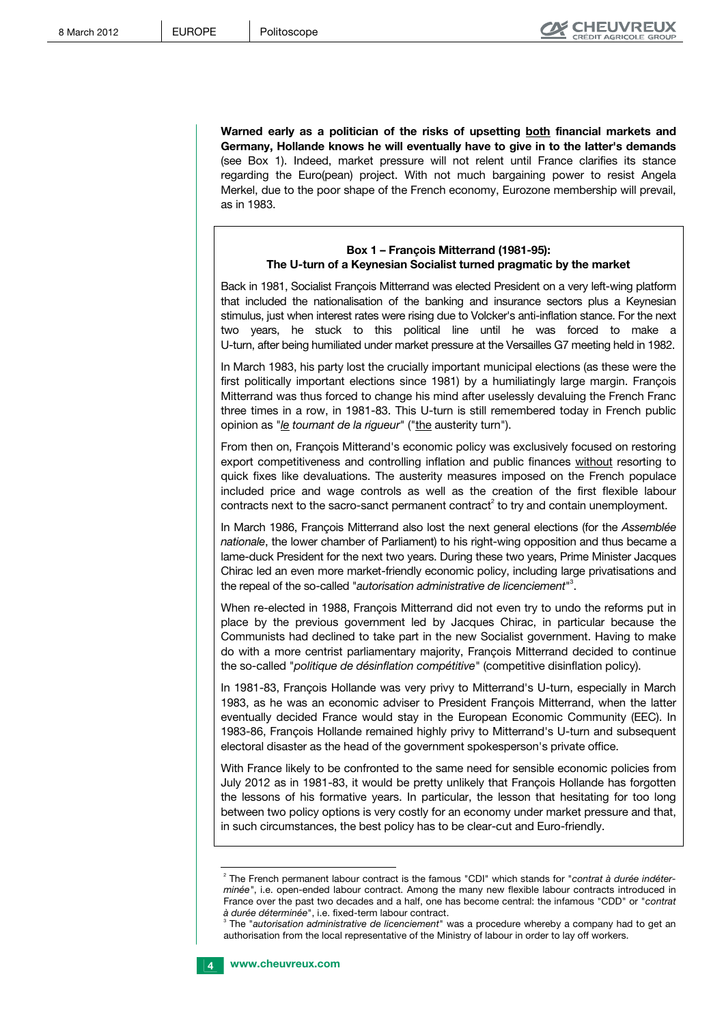**Warned early as a politician of the risks of upsetting both financial markets and Germany, Hollande knows he will eventually have to give in to the latter's demands** (see Box 1). Indeed, market pressure will not relent until France clarifies its stance regarding the Euro(pean) project. With not much bargaining power to resist Angela Merkel, due to the poor shape of the French economy, Eurozone membership will prevail, as in 1983.

### **Box 1 – François Mitterrand (1981-95): The U-turn of a Keynesian Socialist turned pragmatic by the market**

Back in 1981, Socialist François Mitterrand was elected President on a very left-wing platform that included the nationalisation of the banking and insurance sectors plus a Keynesian stimulus, just when interest rates were rising due to Volcker's anti-inflation stance. For the next two years, he stuck to this political line until he was forced to make a U-turn, after being humiliated under market pressure at the Versailles G7 meeting held in 1982.

In March 1983, his party lost the crucially important municipal elections (as these were the first politically important elections since 1981) by a humiliatingly large margin. François Mitterrand was thus forced to change his mind after uselessly devaluing the French Franc three times in a row, in 1981-83. This U-turn is still remembered today in French public opinion as "*le tournant de la rigueur*" ("the austerity turn").

From then on, François Mitterand's economic policy was exclusively focused on restoring export competitiveness and controlling inflation and public finances without resorting to quick fixes like devaluations. The austerity measures imposed on the French populace included price and wage controls as well as the creation of the first flexible labour contracts next to the sacro-sanct permanent contract<sup>2</sup> to try and contain unemployment.

In March 1986, François Mitterrand also lost the next general elections (for the *Assemblée nationale*, the lower chamber of Parliament) to his right-wing opposition and thus became a lame-duck President for the next two years. During these two years, Prime Minister Jacques Chirac led an even more market-friendly economic policy, including large privatisations and the repeal of the so-called "*autorisation administrative de licenciement*" 3 .

When re-elected in 1988, François Mitterrand did not even try to undo the reforms put in place by the previous government led by Jacques Chirac, in particular because the Communists had declined to take part in the new Socialist government. Having to make do with a more centrist parliamentary majority, François Mitterrand decided to continue the so-called "*politique de désinflation compétitive*" (competitive disinflation policy).

In 1981-83, François Hollande was very privy to Mitterrand's U-turn, especially in March 1983, as he was an economic adviser to President François Mitterrand, when the latter eventually decided France would stay in the European Economic Community (EEC). In 1983-86, François Hollande remained highly privy to Mitterrand's U-turn and subsequent electoral disaster as the head of the government spokesperson's private office.

With France likely to be confronted to the same need for sensible economic policies from July 2012 as in 1981-83, it would be pretty unlikely that François Hollande has forgotten the lessons of his formative years. In particular, the lesson that hesitating for too long between two policy options is very costly for an economy under market pressure and that, in such circumstances, the best policy has to be clear-cut and Euro-friendly.

The "*autorisation administrative de licenciement*" was a procedure whereby a company had to get an authorisation from the local representative of the Ministry of labour in order to lay off workers.



j

<sup>2</sup> The French permanent labour contract is the famous "CDI" which stands for "*contrat à durée indéterminée"*, i.e. open-ended labour contract. Among the many new flexible labour contracts introduced in France over the past two decades and a half, one has become central: the infamous "CDD" or "*contrat à durée déterminée*", i.e. fixed-term labour contract. 3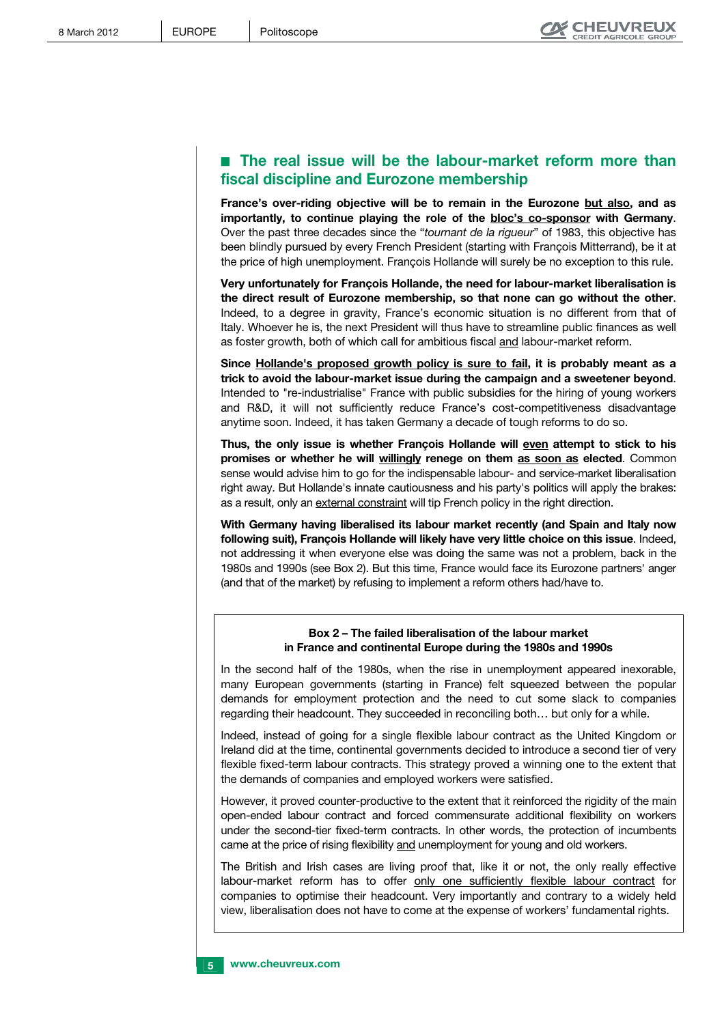# **E** The real issue will be the labour-market reform more than **fiscal discipline and Eurozone membership**

**France's over-riding objective will be to remain in the Eurozone but also, and as importantly, to continue playing the role of the bloc's co-sponsor with Germany**. Over the past three decades since the "*tournant de la rigueur*" of 1983, this objective has been blindly pursued by every French President (starting with François Mitterrand), be it at the price of high unemployment. François Hollande will surely be no exception to this rule.

**Very unfortunately for François Hollande, the need for labour-market liberalisation is the direct result of Eurozone membership, so that none can go without the other**. Indeed, to a degree in gravity, France's economic situation is no different from that of Italy. Whoever he is, the next President will thus have to streamline public finances as well as foster growth, both of which call for ambitious fiscal and labour-market reform.

**Since Hollande's proposed growth policy is sure to fail, it is probably meant as a trick to avoid the labour-market issue during the campaign and a sweetener beyond**. Intended to "re-industrialise" France with public subsidies for the hiring of young workers and R&D, it will not sufficiently reduce France's cost-competitiveness disadvantage anytime soon. Indeed, it has taken Germany a decade of tough reforms to do so.

**Thus, the only issue is whether François Hollande will even attempt to stick to his promises or whether he will willingly renege on them as soon as elected**. Common sense would advise him to go for the indispensable labour- and service-market liberalisation right away. But Hollande's innate cautiousness and his party's politics will apply the brakes: as a result, only an external constraint will tip French policy in the right direction.

**With Germany having liberalised its labour market recently (and Spain and Italy now following suit), François Hollande will likely have very little choice on this issue**. Indeed, not addressing it when everyone else was doing the same was not a problem, back in the 1980s and 1990s (see Box 2). But this time, France would face its Eurozone partners' anger (and that of the market) by refusing to implement a reform others had/have to.

### **Box 2 – The failed liberalisation of the labour market in France and continental Europe during the 1980s and 1990s**

In the second half of the 1980s, when the rise in unemployment appeared inexorable, many European governments (starting in France) felt squeezed between the popular demands for employment protection and the need to cut some slack to companies regarding their headcount. They succeeded in reconciling both… but only for a while.

Indeed, instead of going for a single flexible labour contract as the United Kingdom or Ireland did at the time, continental governments decided to introduce a second tier of very flexible fixed-term labour contracts. This strategy proved a winning one to the extent that the demands of companies and employed workers were satisfied.

However, it proved counter-productive to the extent that it reinforced the rigidity of the main open-ended labour contract and forced commensurate additional flexibility on workers under the second-tier fixed-term contracts. In other words, the protection of incumbents came at the price of rising flexibility and unemployment for young and old workers.

The British and Irish cases are living proof that, like it or not, the only really effective labour-market reform has to offer only one sufficiently flexible labour contract for companies to optimise their headcount. Very importantly and contrary to a widely held view, liberalisation does not have to come at the expense of workers' fundamental rights.

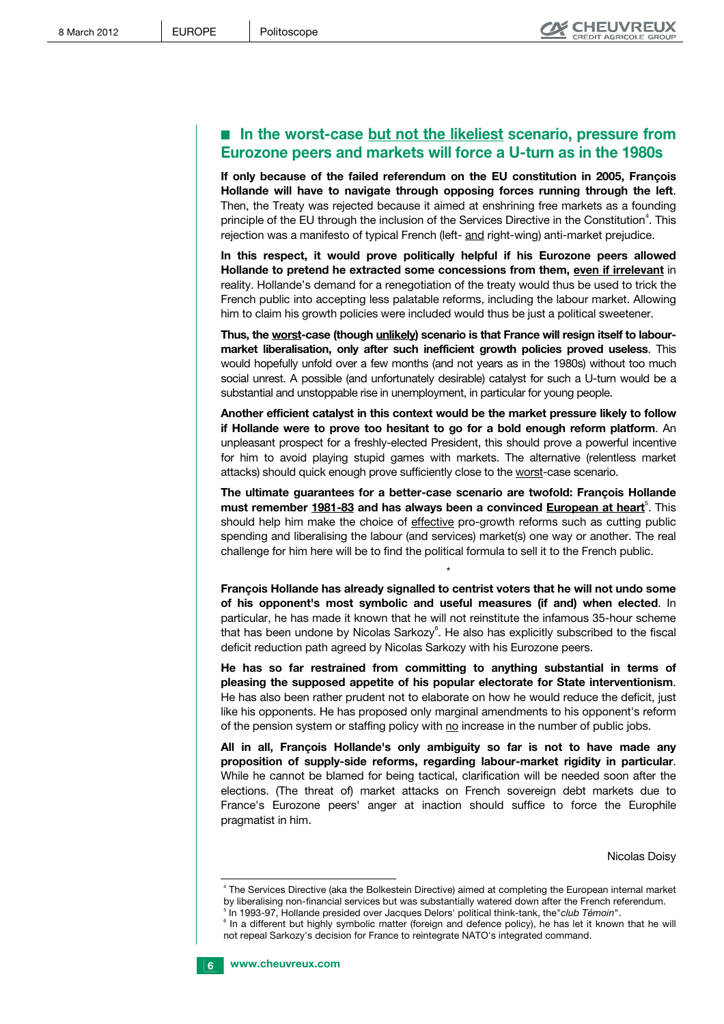## ■ In the worst-case but not the likeliest scenario, pressure from **Eurozone peers and markets will force a U-turn as in the 1980s**

**If only because of the failed referendum on the EU constitution in 2005, François Hollande will have to navigate through opposing forces running through the left**. Then, the Treaty was rejected because it aimed at enshrining free markets as a founding principle of the EU through the inclusion of the Services Directive in the Constitution<sup>4</sup>. This rejection was a manifesto of typical French (left- and right-wing) anti-market prejudice.

**In this respect, it would prove politically helpful if his Eurozone peers allowed Hollande to pretend he extracted some concessions from them, even if irrelevant** in reality. Hollande's demand for a renegotiation of the treaty would thus be used to trick the French public into accepting less palatable reforms, including the labour market. Allowing him to claim his growth policies were included would thus be just a political sweetener.

**Thus, the worst-case (though unlikely) scenario is that France will resign itself to labourmarket liberalisation, only after such inefficient growth policies proved useless**. This would hopefully unfold over a few months (and not years as in the 1980s) without too much social unrest. A possible (and unfortunately desirable) catalyst for such a U-turn would be a substantial and unstoppable rise in unemployment, in particular for young people.

**Another efficient catalyst in this context would be the market pressure likely to follow if Hollande were to prove too hesitant to go for a bold enough reform platform**. An unpleasant prospect for a freshly-elected President, this should prove a powerful incentive for him to avoid playing stupid games with markets. The alternative (relentless market attacks) should quick enough prove sufficiently close to the worst-case scenario.

**The ultimate guarantees for a better-case scenario are twofold: François Hollande must remember 1981-83 and has always been a convinced European at heart**<sup>5</sup>. This should help him make the choice of effective pro-growth reforms such as cutting public spending and liberalising the labour (and services) market(s) one way or another. The real challenge for him here will be to find the political formula to sell it to the French public.

**François Hollande has already signalled to centrist voters that he will not undo some of his opponent's most symbolic and useful measures (if and) when elected**. In particular, he has made it known that he will not reinstitute the infamous 35-hour scheme that has been undone by Nicolas Sarkozy<sup>6</sup>. He also has explicitly subscribed to the fiscal deficit reduction path agreed by Nicolas Sarkozy with his Eurozone peers.

\*

**He has so far restrained from committing to anything substantial in terms of pleasing the supposed appetite of his popular electorate for State interventionism**. He has also been rather prudent not to elaborate on how he would reduce the deficit, just like his opponents. He has proposed only marginal amendments to his opponent's reform of the pension system or staffing policy with no increase in the number of public jobs.

**All in all, François Hollande's only ambiguity so far is not to have made any proposition of supply-side reforms, regarding labour-market rigidity in particular**. While he cannot be blamed for being tactical, clarification will be needed soon after the elections. (The threat of) market attacks on French sovereign debt markets due to France's Eurozone peers' anger at inaction should suffice to force the Europhile pragmatist in him.

Nicolas Doisy

<sup>&</sup>lt;sup>5</sup> In 1993-97, Hollande presided over Jacques Delors' political think-tank, the *club Témoin*".<br><sup>6</sup> In a different but highly symbolic matter (feming and defense polity), ha has let it luceurs <sup>6</sup> In a different but highly symbolic matter (foreign and defence policy), he has let it known that he will not repeal Sarkozy's decision for France to reintegrate NATO's integrated command.



j

<sup>4</sup> The Services Directive (aka the Bolkestein Directive) aimed at completing the European internal market by liberalising non-financial services but was substantially watered down after the French referendum.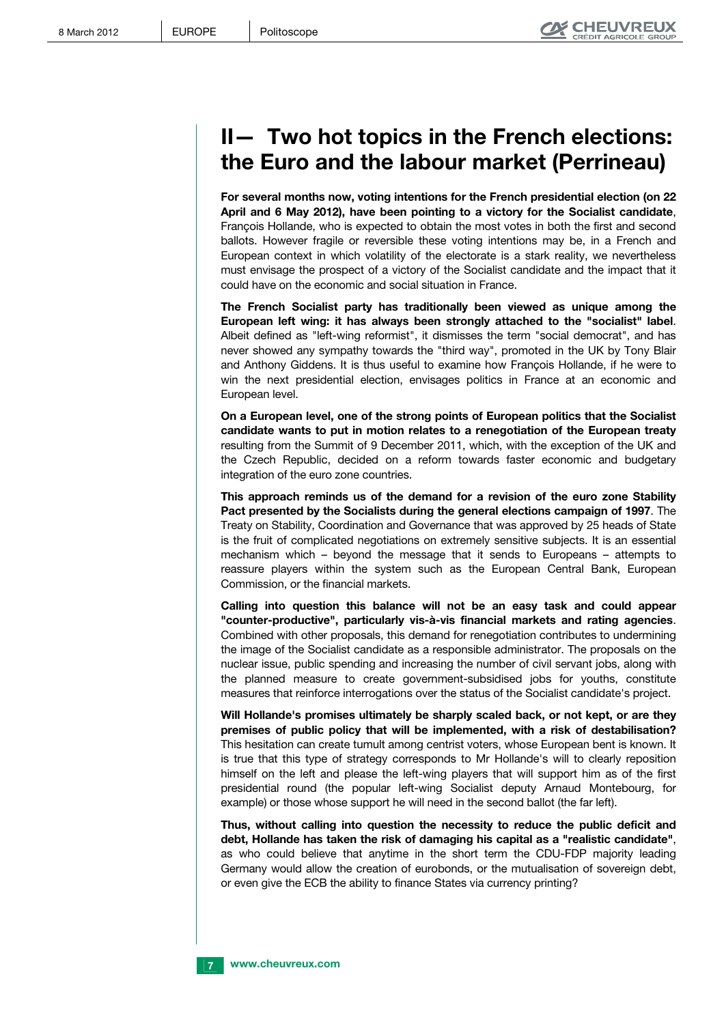# **II— Two hot topics in the French elections: the Euro and the labour market (Perrineau)**

**For several months now, voting intentions for the French presidential election (on 22 April and 6 May 2012), have been pointing to a victory for the Socialist candidate**, François Hollande, who is expected to obtain the most votes in both the first and second ballots. However fragile or reversible these voting intentions may be, in a French and European context in which volatility of the electorate is a stark reality, we nevertheless must envisage the prospect of a victory of the Socialist candidate and the impact that it could have on the economic and social situation in France.

**The French Socialist party has traditionally been viewed as unique among the European left wing: it has always been strongly attached to the "socialist" label**. Albeit defined as "left-wing reformist", it dismisses the term "social democrat", and has never showed any sympathy towards the "third way", promoted in the UK by Tony Blair and Anthony Giddens. It is thus useful to examine how François Hollande, if he were to win the next presidential election, envisages politics in France at an economic and European level.

**On a European level, one of the strong points of European politics that the Socialist candidate wants to put in motion relates to a renegotiation of the European treaty** resulting from the Summit of 9 December 2011, which, with the exception of the UK and the Czech Republic, decided on a reform towards faster economic and budgetary integration of the euro zone countries.

**This approach reminds us of the demand for a revision of the euro zone Stability Pact presented by the Socialists during the general elections campaign of 1997**. The Treaty on Stability, Coordination and Governance that was approved by 25 heads of State is the fruit of complicated negotiations on extremely sensitive subjects. It is an essential mechanism which – beyond the message that it sends to Europeans – attempts to reassure players within the system such as the European Central Bank, European Commission, or the financial markets.

**Calling into question this balance will not be an easy task and could appear "counter-productive", particularly vis-à-vis financial markets and rating agencies**. Combined with other proposals, this demand for renegotiation contributes to undermining the image of the Socialist candidate as a responsible administrator. The proposals on the nuclear issue, public spending and increasing the number of civil servant jobs, along with the planned measure to create government-subsidised jobs for youths, constitute measures that reinforce interrogations over the status of the Socialist candidate's project.

**Will Hollande's promises ultimately be sharply scaled back, or not kept, or are they premises of public policy that will be implemented, with a risk of destabilisation?** This hesitation can create tumult among centrist voters, whose European bent is known. It is true that this type of strategy corresponds to Mr Hollande's will to clearly reposition himself on the left and please the left-wing players that will support him as of the first presidential round (the popular left-wing Socialist deputy Arnaud Montebourg, for example) or those whose support he will need in the second ballot (the far left).

**Thus, without calling into question the necessity to reduce the public deficit and debt, Hollande has taken the risk of damaging his capital as a "realistic candidate"**, as who could believe that anytime in the short term the CDU-FDP majority leading Germany would allow the creation of eurobonds, or the mutualisation of sovereign debt, or even give the ECB the ability to finance States via currency printing?

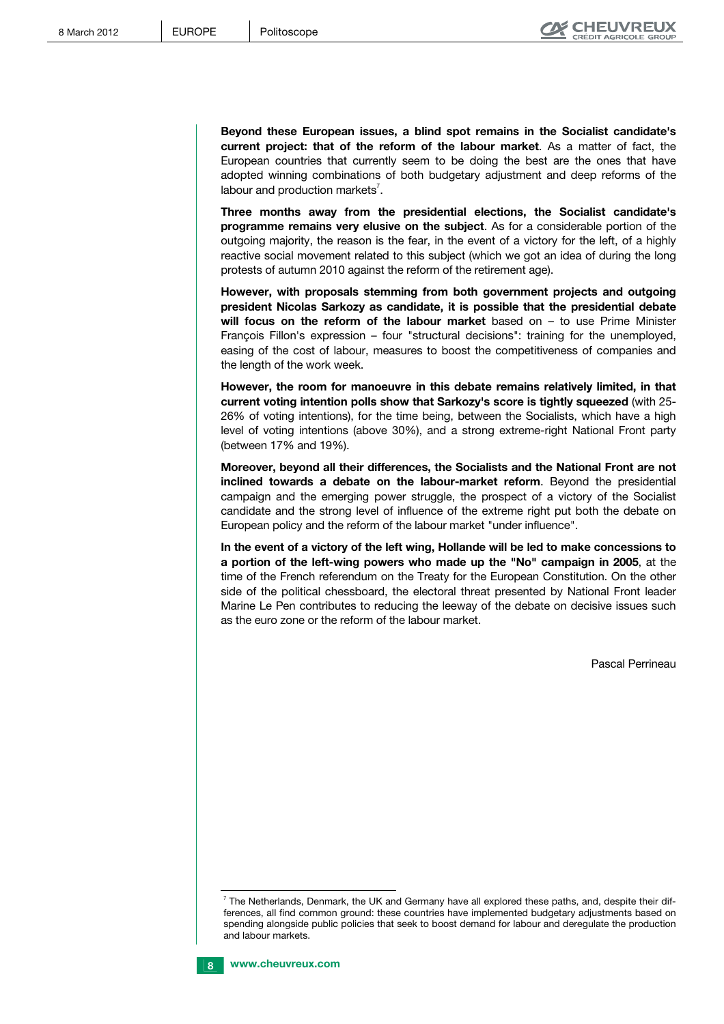**Beyond these European issues, a blind spot remains in the Socialist candidate's current project: that of the reform of the labour market**. As a matter of fact, the European countries that currently seem to be doing the best are the ones that have adopted winning combinations of both budgetary adjustment and deep reforms of the labour and production markets<sup>7</sup>.

**Three months away from the presidential elections, the Socialist candidate's programme remains very elusive on the subject**. As for a considerable portion of the outgoing majority, the reason is the fear, in the event of a victory for the left, of a highly reactive social movement related to this subject (which we got an idea of during the long protests of autumn 2010 against the reform of the retirement age).

**However, with proposals stemming from both government projects and outgoing president Nicolas Sarkozy as candidate, it is possible that the presidential debate will focus on the reform of the labour market** based on – to use Prime Minister François Fillon's expression – four "structural decisions": training for the unemployed, easing of the cost of labour, measures to boost the competitiveness of companies and the length of the work week.

**However, the room for manoeuvre in this debate remains relatively limited, in that current voting intention polls show that Sarkozy's score is tightly squeezed** (with 25- 26% of voting intentions), for the time being, between the Socialists, which have a high level of voting intentions (above 30%), and a strong extreme-right National Front party (between 17% and 19%).

**Moreover, beyond all their differences, the Socialists and the National Front are not inclined towards a debate on the labour-market reform**. Beyond the presidential campaign and the emerging power struggle, the prospect of a victory of the Socialist candidate and the strong level of influence of the extreme right put both the debate on European policy and the reform of the labour market "under influence".

**In the event of a victory of the left wing, Hollande will be led to make concessions to a portion of the left-wing powers who made up the "No" campaign in 2005**, at the time of the French referendum on the Treaty for the European Constitution. On the other side of the political chessboard, the electoral threat presented by National Front leader Marine Le Pen contributes to reducing the leeway of the debate on decisive issues such as the euro zone or the reform of the labour market.

Pascal Perrineau

j  $^7$  The Netherlands, Denmark, the UK and Germany have all explored these paths, and, despite their differences, all find common ground: these countries have implemented budgetary adjustments based on spending alongside public policies that seek to boost demand for labour and deregulate the production and labour markets.